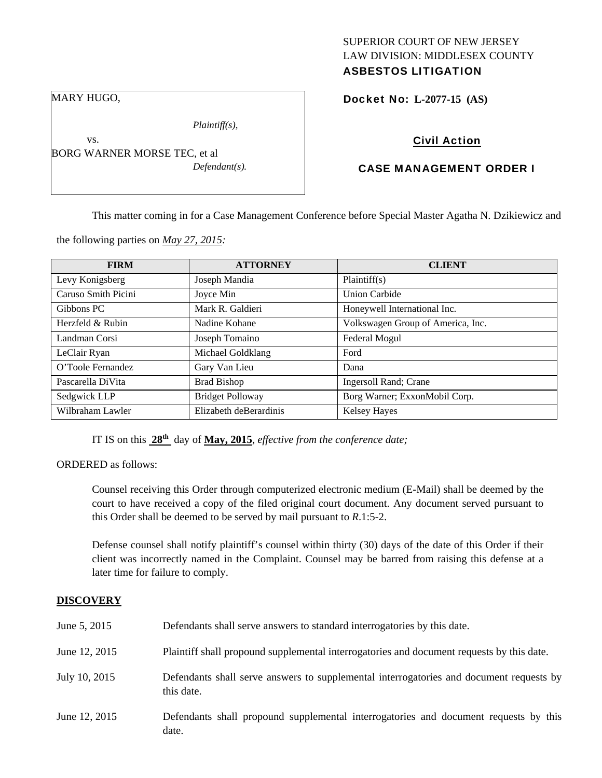## SUPERIOR COURT OF NEW JERSEY LAW DIVISION: MIDDLESEX COUNTY ASBESTOS LITIGATION

Docket No: **L-2077-15 (AS)** 

## Civil Action

## CASE MANAGEMENT ORDER I

This matter coming in for a Case Management Conference before Special Master Agatha N. Dzikiewicz and

the following parties on *May 27, 2015:* 

BORG WARNER MORSE TEC, et al

| <b>FIRM</b>         | <b>ATTORNEY</b>         | <b>CLIENT</b>                     |
|---------------------|-------------------------|-----------------------------------|
| Levy Konigsberg     | Joseph Mandia           | Plaintiff(s)                      |
| Caruso Smith Picini | Joyce Min               | <b>Union Carbide</b>              |
| Gibbons PC          | Mark R. Galdieri        | Honeywell International Inc.      |
| Herzfeld & Rubin    | Nadine Kohane           | Volkswagen Group of America, Inc. |
| Landman Corsi       | Joseph Tomaino          | Federal Mogul                     |
| LeClair Ryan        | Michael Goldklang       | Ford                              |
| O'Toole Fernandez   | Gary Van Lieu           | Dana                              |
| Pascarella DiVita   | <b>Brad Bishop</b>      | <b>Ingersoll Rand</b> ; Crane     |
| Sedgwick LLP        | <b>Bridget Polloway</b> | Borg Warner; ExxonMobil Corp.     |
| Wilbraham Lawler    | Elizabeth deBerardinis  | <b>Kelsey Hayes</b>               |

IT IS on this **28th** day of **May, 2015**, *effective from the conference date;*

ORDERED as follows:

Counsel receiving this Order through computerized electronic medium (E-Mail) shall be deemed by the court to have received a copy of the filed original court document. Any document served pursuant to this Order shall be deemed to be served by mail pursuant to *R*.1:5-2.

Defense counsel shall notify plaintiff's counsel within thirty (30) days of the date of this Order if their client was incorrectly named in the Complaint. Counsel may be barred from raising this defense at a later time for failure to comply.

#### **DISCOVERY**

| June 5, 2015  | Defendants shall serve answers to standard interrogatories by this date.                              |
|---------------|-------------------------------------------------------------------------------------------------------|
| June 12, 2015 | Plaintiff shall propound supplemental interrogatories and document requests by this date.             |
| July 10, 2015 | Defendants shall serve answers to supplemental interrogatories and document requests by<br>this date. |
| June 12, 2015 | Defendants shall propound supplemental interrogatories and document requests by this<br>date.         |

MARY HUGO,

vs.

*Plaintiff(s),* 

*Defendant(s).*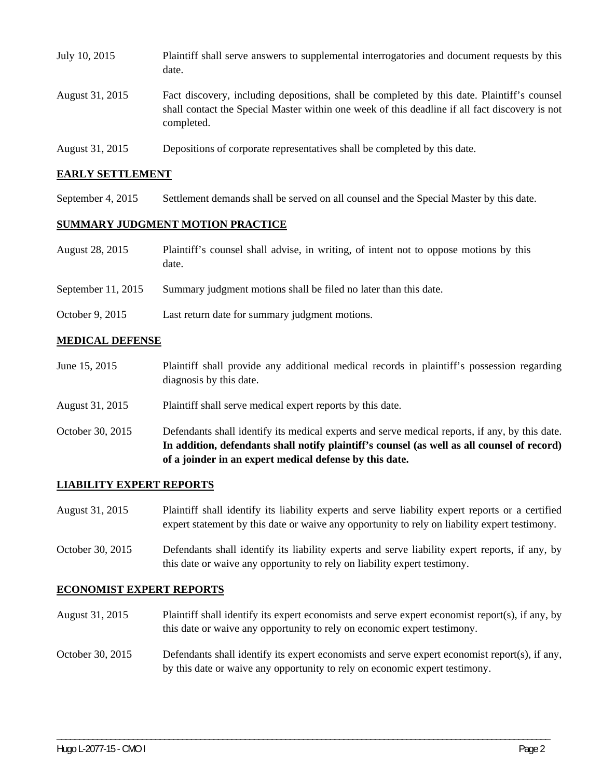| July 10, 2015   | Plaintiff shall serve answers to supplemental interrogatories and document requests by this<br>date.                                                                                                        |
|-----------------|-------------------------------------------------------------------------------------------------------------------------------------------------------------------------------------------------------------|
| August 31, 2015 | Fact discovery, including depositions, shall be completed by this date. Plaintiff's counsel<br>shall contact the Special Master within one week of this deadline if all fact discovery is not<br>completed. |
| August 31, 2015 | Depositions of corporate representatives shall be completed by this date.                                                                                                                                   |

#### **EARLY SETTLEMENT**

September 4, 2015 Settlement demands shall be served on all counsel and the Special Master by this date.

#### **SUMMARY JUDGMENT MOTION PRACTICE**

| August 28, 2015 | Plaintiff's counsel shall advise, in writing, of intent not to oppose motions by this |
|-----------------|---------------------------------------------------------------------------------------|
|                 | date.                                                                                 |

- September 11, 2015 Summary judgment motions shall be filed no later than this date.
- October 9, 2015 Last return date for summary judgment motions.

#### **MEDICAL DEFENSE**

- June 15, 2015 Plaintiff shall provide any additional medical records in plaintiff's possession regarding diagnosis by this date.
- August 31, 2015 Plaintiff shall serve medical expert reports by this date.
- October 30, 2015 Defendants shall identify its medical experts and serve medical reports, if any, by this date. **In addition, defendants shall notify plaintiff's counsel (as well as all counsel of record) of a joinder in an expert medical defense by this date.**

#### **LIABILITY EXPERT REPORTS**

- August 31, 2015 Plaintiff shall identify its liability experts and serve liability expert reports or a certified expert statement by this date or waive any opportunity to rely on liability expert testimony.
- October 30, 2015 Defendants shall identify its liability experts and serve liability expert reports, if any, by this date or waive any opportunity to rely on liability expert testimony.

#### **ECONOMIST EXPERT REPORTS**

- August 31, 2015 Plaintiff shall identify its expert economists and serve expert economist report(s), if any, by this date or waive any opportunity to rely on economic expert testimony.
- October 30, 2015 Defendants shall identify its expert economists and serve expert economist report(s), if any, by this date or waive any opportunity to rely on economic expert testimony.

\_\_\_\_\_\_\_\_\_\_\_\_\_\_\_\_\_\_\_\_\_\_\_\_\_\_\_\_\_\_\_\_\_\_\_\_\_\_\_\_\_\_\_\_\_\_\_\_\_\_\_\_\_\_\_\_\_\_\_\_\_\_\_\_\_\_\_\_\_\_\_\_\_\_\_\_\_\_\_\_\_\_\_\_\_\_\_\_\_\_\_\_\_\_\_\_\_\_\_\_\_\_\_\_\_\_\_\_\_\_